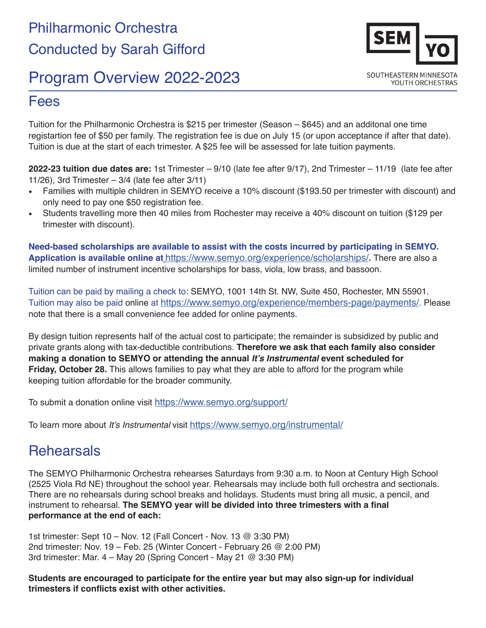# Program Overview 2022-2023

## Fees

Tuition for the Philharmonic Orchestra is \$215 per trimester (Season – \$645) and an additonal one time registartion fee of \$50 per family. The registration fee is due on July 15 (or upon acceptance if after that date). Tuition is due at the start of each trimester. A \$25 fee will be assessed for late tuition payments.

**2022-23 tuition due dates are:** 1st Trimester – 9/10 (late fee after 9/17), 2nd Trimester – 11/19 (late fee after 11/26), 3rd Trimester – 3/4 (late fee after 3/11)

- Families with multiple children in SEMYO receive a 10% discount (\$193.50 per trimester with discount) and only need to pay one \$50 registration fee.
- Students travelling more then 40 miles from Rochester may receive a 40% discount on tuition (\$129 per trimester with discount).

**Need-based scholarships are available to assist with the costs incurred by participating in SEMYO. Application is available online at** [https://www.semyo.org/experience/scholarships/]( https://www.semyo.org/experience/scholarships/)**.** There are also a limited number of instrument incentive scholarships for bass, viola, low brass, and bassoon.

Tuition can be paid by mailing a check to: SEMYO, 1001 14th St. NW, Suite 450, Rochester, MN 55901. Tuition may also be paid [online](http://semyo.org/tuition/) at <https://www.semyo.org/experience/members-page/payments/>. Please note that there is a small convenience fee added for online payments.

By design tuition represents half of the actual cost to participate; the remainder is subsidized by public and private grants along with tax-deductible contributions. **Therefore we ask that each family also consider making a donation to SEMYO or attending the annual It's Instrumental event scheduled for Friday, October 28.** This allows families to pay what they are able to afford for the program while keeping tuition affordable for the broader community.

To submit a donation online visit <https://www.semyo.org/support/>

To learn more about It's Instrumental visit<https://www.semyo.org/instrumental/>

#### **Rehearsals**

The SEMYO Philharmonic Orchestra rehearses Saturdays from 9:30 a.m. to Noon at Century High School (2525 Viola Rd NE) throughout the school year. Rehearsals may include both full orchestra and sectionals. There are no rehearsals during school breaks and holidays. Students must bring all music, a pencil, and instrument to rehearsal. **The SEMYO year will be divided into three trimesters with a final performance at the end of each:** 

1st trimester: Sept 10 – Nov. 12 (Fall Concert - Nov. 13 @ 3:30 PM) 2nd trimester: Nov. 19 – Feb. 25 (Winter Concert - February 26 @ 2:00 PM) 3rd trimester: Mar. 4 – May 20 (Spring Concert - May 21 @ 3:30 PM)

**Students are encouraged to participate for the entire year but may also sign-up for individual trimesters if conflicts exist with other activities.**

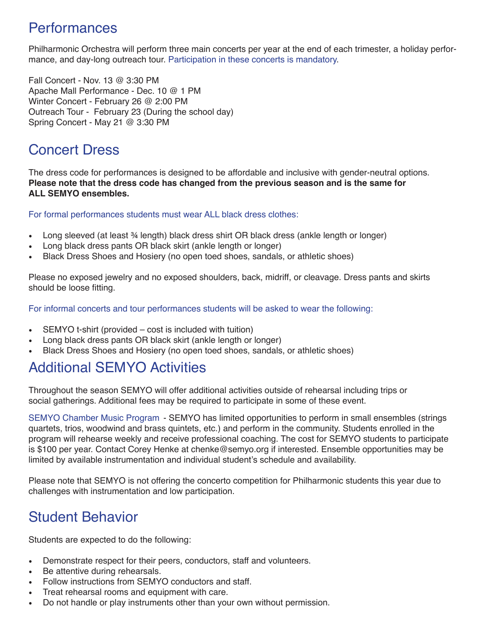## **Performances**

Philharmonic Orchestra will perform three main concerts per year at the end of each trimester, a holiday performance, and day-long outreach tour. Participation in these concerts is mandatory.

Fall Concert - Nov. 13 @ 3:30 PM Apache Mall Performance - Dec. 10 @ 1 PM Winter Concert - February 26 @ 2:00 PM Outreach Tour - February 23 (During the school day) Spring Concert - May 21 @ 3:30 PM

### Concert Dress

The dress code for performances is designed to be affordable and inclusive with gender-neutral options. **Please note that the dress code has changed from the previous season and is the same for ALL SEMYO ensembles.** 

For formal performances students must wear ALL black dress clothes:

- Long sleeved (at least ¾ length) black dress shirt OR black dress (ankle length or longer)
- Long black dress pants OR black skirt (ankle length or longer)
- Black Dress Shoes and Hosiery (no open toed shoes, sandals, or athletic shoes)

Please no exposed jewelry and no exposed shoulders, back, midriff, or cleavage. Dress pants and skirts should be loose fitting.

For informal concerts and tour performances students will be asked to wear the following:

- SEMYO t-shirt (provided cost is included with tuition)
- Long black dress pants OR black skirt (ankle length or longer)
- Black Dress Shoes and Hosiery (no open toed shoes, sandals, or athletic shoes)

## Additional SEMYO Activities

Throughout the season SEMYO will offer additional activities outside of rehearsal including trips or social gatherings. Additional fees may be required to participate in some of these event.

SEMYO Chamber Music Program - SEMYO has limited opportunities to perform in small ensembles (strings quartets, trios, woodwind and brass quintets, etc.) and perform in the community. Students enrolled in the program will rehearse weekly and receive professional coaching. The cost for SEMYO students to participate is \$100 per year. Contact Corey Henke at chenke@semyo.org if interested. Ensemble opportunities may be limited by available instrumentation and individual student's schedule and availability.

Please note that SEMYO is not offering the concerto competition for Philharmonic students this year due to challenges with instrumentation and low participation.

## Student Behavior

Students are expected to do the following:

- Demonstrate respect for their peers, conductors, staff and volunteers.
- Be attentive during rehearsals.
- Follow instructions from SEMYO conductors and staff.
- Treat rehearsal rooms and equipment with care.
- Do not handle or play instruments other than your own without permission.